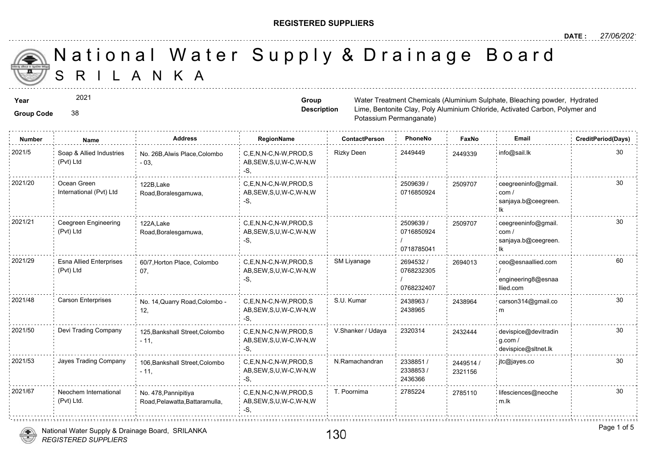### **REGISTERED SUPPLIERS**

### A N K A National Water Supply & Drainage

**Group Code** 38 **Year** Water Treatment Chemicals (Aluminium Sulphate, Bleaching powder, Sulphate, Sulphate, Bleaching powder, Hydrated powder, Hydrated Powder, Sulphate, Bleaching powder, Hydrated Powder, Hydrated Powder, Hydrated Powder, Lime, Bentonite Clay, Poly Aluminium Potassium Permanganate) **Group Description** 2021 **Number Name Address RegionName ContactPerson PhoneNo FaxNo Email CreditPeriod(Days)** C,E,N,N-C,N-W,PROD,S Rizky Deen 2449449 24493; AB,SEW,S,U,W-C,W-N,W -S, No. 26B,Alwis Place,Colombo 2021/5 2449339 info@sail.lk - 03, Soap & Allied Industries (Pvt) Ltd 2509639 / 0716850924 C,E,N,N-C,N-W,PROD,S 2021/20 ceegreeninfo@gmail. AB,SEW,S,U,W-C,W-N,W -S, 122B,Lake Road,Boralesgamuwa, Ocean Green International (Pvt) Ltd 250970 2509639 / 0716850924 / 0718785041 2021/21 Ceegreen Engineering 122A Lake C,E,N,N-C,N-W,PROD,S 2509639 (2509639 / 250970 AB,SEW,S,U,W-C,W-N,W -S, 122A,Lake Road,Boralesgamuwa, Ceegreen Engineering (Pvt) Ltd 25097 2694532 / 0768232305 / 0768232407 C,E,N,N-C,N-W,PROD,S SM Liyanage AB,SEW,S,U,W-C,W-N,W -S, 2021/29 Esna Allied Enterprises 60/7,Horton Place, Colombo C,E,N,N-C,N-W,PROD,S SM Liyanage 2694532 / 26940 07, Esna Allied Enterprises (Pvt) Ltd 26940<sup></sup> 2438963 / 2438965 C,E,N,N-C,N-W,PROD,S S.U. Kumar AB,SEW,S,U,W-C,W-N,W  $-S$ 2021/48 Carson Enterprises No. 14,Quarry Road,Colombo - C,E,N,N-C,N-W,PROD,S S.U. Kumar 2438963 / 243896 12, 243896 C,E,N,N-C,N-W,PROD,S V.Shanker / Udaya 2320314 AB,SEW,S,U,W-C,W-N,W -S, 2021/50 Devi Trading Company 125,Bankshall Street,Colombo C,E,N,N-C,N-W,PROD,S V.Shanker / Udaya 2320314 243244  $-11,$ 24324 2338851 / 24495 2338853 / 2436366 C,E,N,N-C,N-W,PROD,S N.Ramachandran AB,SEW,S,U,W-C,W-N,W -S, 2021/53 Jayes Trading Company 106,Bankshall Street,Colombo C,E,N,N-C,N-W,PROD,S N.Ramachandran 2338851 / 24495  $-11$ , 232115



Neochem International

(Pvt) Ltd.

No. 478,Pannipitiya

Road,Pelawatta,Battaramulla,

27851<sup></sup>

2021/67 Neochem International No. 478 Pannipitiva C,E,N,N-C,N-W,PROD,S T. Poornima 2785224 27851

AB,SEW,S,U,W-C,W-N,W

-S,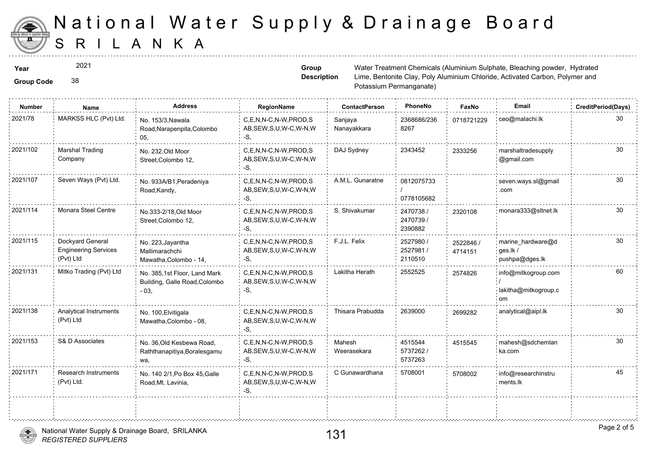

2021

#### **Group Code** 38

**Group Description**

**Year** Mater Treatment Chemicals (Aluminium Sulphate, Bleaching powder, Sulphate, Sulphate, Bleaching powder, Hydrated powder, Hydrated Powder, Sulphate, Bleaching powder, Hydrated Powder, Hydrated Powder, Hydrated Powder, Lime, Bentonite Clay, Poly Aluminium Potassium Permanganate)

| <b>Number</b> | Name                                                         | <b>Address</b>                                                          | RegionName                                                | <b>ContactPerson</b>   | PhoneNo                          | Faxl             |
|---------------|--------------------------------------------------------------|-------------------------------------------------------------------------|-----------------------------------------------------------|------------------------|----------------------------------|------------------|
| 2021/78       | MARKSS HLC (Pvt) Ltd.                                        | No. 153/3, Nawala<br>Road, Narapenpita, Colombo<br>05.                  | C,E,N,N-C,N-W,PROD,S<br>AB, SEW, S, U, W-C, W-N, W<br>-S. | Sanjaya<br>Nanayakkara | 2368686/236<br>8267              | 071872           |
| 2021/102      | <b>Marshal Trading</b><br>Company                            | No. 232, Old Moor<br>Street, Colombo 12,                                | C.E.N.N-C.N-W.PROD.S<br>AB, SEW, S, U, W-C, W-N, W<br>-S. | DAJ Sydney             | 2343452                          | 233325           |
| 2021/107      | Seven Ways (Pvt) Ltd.                                        | No. 933A/B1, Peradeniya<br>Road, Kandy,                                 | C.E.N.N-C.N-W.PROD.S<br>AB, SEW, S, U, W-C, W-N, W<br>-S, | A.M.L. Gunaratne       | 0812075733<br>0778105682         |                  |
| 2021/114      | Monara Steel Centre                                          | No.333-2/18, Old Moor<br>Street, Colombo 12,                            | C,E,N,N-C,N-W,PROD,S<br>AB, SEW, S, U, W-C, W-N, W<br>-S, | S. Shivakumar          | 2470738 /<br>2470739/<br>2390882 | 232010           |
| 2021/115      | Dockyard General<br><b>Engineering Services</b><br>(Pvt) Ltd | No. 223, Jayantha<br>Mallimarachchi<br>Mawatha, Colombo - 14,           | C,E,N,N-C,N-W,PROD,S<br>AB, SEW, S, U, W-C, W-N, W<br>-S, | F.J.L. Felix           | 2527980 /<br>2527981/<br>2110510 | 252284<br>471415 |
| 2021/131      | Mitko Trading (Pvt) Ltd                                      | No. 385,1st Floor, Land Mark<br>Building, Galle Road, Colombo<br>$-03,$ | C,E,N,N-C,N-W,PROD,S<br>AB, SEW, S, U, W-C, W-N, W<br>-S, | Lakitha Herath         | 2552525                          | 257482           |
| 2021/138      | <b>Analytical Instruments</b><br>(Pvt) Ltd                   | No. 100, Elvitigala<br>Mawatha, Colombo - 08,                           | C.E.N.N-C.N-W.PROD.S<br>AB, SEW, S, U, W-C, W-N, W<br>-S. | Thisara Prabudda       | 2639000                          | 269928           |
| 2021/153      | S& D Associates                                              | No. 36, Old Kesbewa Road,<br>Raththanapitiya, Boralesgamu<br>wa,        | C,E,N,N-C,N-W,PROD,S<br>AB, SEW, S, U, W-C, W-N, W<br>-S, | Mahesh<br>Weerasekara  | 4515544<br>5737262 /<br>5737263  | 451554           |
| 2021/171      | <b>Research Instruments</b><br>(Pvt) Ltd.                    | No. 140 2/1, Po Box 45, Galle<br>Road, Mt. Lavinia,                     | C,E,N,N-C,N-W,PROD,S<br>AB, SEW, S, U, W-C, W-N, W<br>-S, | C Gunawardhana         | 5708001                          | 570800           |
|               |                                                              |                                                                         |                                                           |                        |                                  |                  |



.<br>Saaraasaasaa aastasaasaasaasaasaasaasaasaasaasa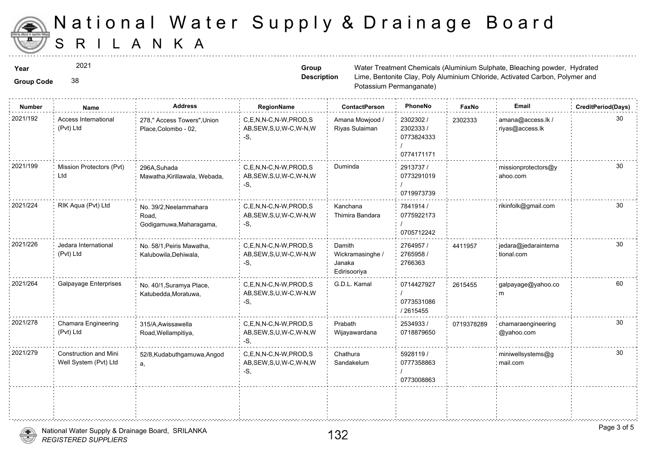

2021

**Group Code** 38

**Group Description**

**Year** Mater Treatment Chemicals (Aluminium Sulphate, Bleaching powder, Sulphate, Sulphate, Bleaching powder, Hydrated powder, Hydrated Powder, Sulphate, Bleaching powder, Hydrated Powder, Hydrated Powder, Hydrated Powder, Lime, Bentonite Clay, Poly Aluminium Potassium Permanganate)

| <b>Number</b> | Name                                                  | <b>Address</b>                                             | RegionName                                                   | <b>ContactPerson</b>                                 | PhoneNo                                            | Fax    |
|---------------|-------------------------------------------------------|------------------------------------------------------------|--------------------------------------------------------------|------------------------------------------------------|----------------------------------------------------|--------|
| 2021/192      | <b>Access International</b><br>(Pvt) Ltd              | 278," Access Towers", Union<br>Place, Colombo - 02,        | C.E.N.N-C.N-W.PROD.S<br>AB, SEW, S, U, W-C, W-N, W<br>$-S$ . | Amana Mowjood /<br>Riyas Sulaiman                    | 2302302 /<br>2302333 /<br>0773824333<br>0774171171 | 230233 |
| 2021/199      | Mission Protectors (Pvt)<br>Ltd                       | 296A, Suhada<br>Mawatha, Kirillawala, Webada,              | C,E,N,N-C,N-W,PROD,S<br>AB, SEW, S, U, W-C, W-N, W<br>$-S,$  | Duminda                                              | 2913737 /<br>0773291019<br>0719973739              |        |
| 2021/224      | RIK Aqua (Pvt) Ltd                                    | No. 39/2, Neelammahara<br>Road,<br>Godigamuwa, Maharagama, | C,E,N,N-C,N-W,PROD,S<br>AB, SEW, S, U, W-C, W-N, W<br>$-S$ . | Kanchana<br>Thimira Bandara                          | 7841914 /<br>0775922173<br>0705712242              |        |
| 2021/226      | Jedara International<br>(Pvt) Ltd                     | No. 58/1, Peiris Mawatha,<br>Kalubowila, Dehiwala,         | C.E.N.N-C.N-W.PROD.S<br>AB, SEW, S, U, W-C, W-N, W<br>$-S$ . | Damith<br>Wickramasinghe /<br>Janaka<br>Edirisooriya | 2764957 /<br>2765958 /<br>2766363                  | 441195 |
| 2021/264      | Galpayage Enterprises                                 | No. 40/1, Suramya Place,<br>Katubedda, Moratuwa,           | C,E,N,N-C,N-W,PROD,S<br>AB, SEW, S, U, W-C, W-N, W<br>$-S,$  | G.D.L. Kamal                                         | 0714427927<br>0773531086<br>/ 2615455              | 261545 |
| 2021/278      | Chamara Engineering<br>(Pvt) Ltd                      | 315/A, Awissawella<br>Road, Wellampitiya,                  | C,E,N,N-C,N-W,PROD,S<br>AB, SEW, S, U, W-C, W-N, W<br>$-S$ . | Prabath<br>Wijayawardana                             | 2534933 /<br>0718879650                            | 071937 |
| 2021/279      | <b>Construction and Mini</b><br>Well System (Pvt) Ltd | 52/8, Kudabuthgamuwa, Angod<br>а,                          | C,E,N,N-C,N-W,PROD,S<br>AB, SEW, S, U, W-C, W-N, W<br>$-S,$  | Chathura<br>Sandakelum                               | 5928119 /<br>0777358863<br>0773008863              |        |
|               |                                                       |                                                            |                                                              |                                                      |                                                    |        |

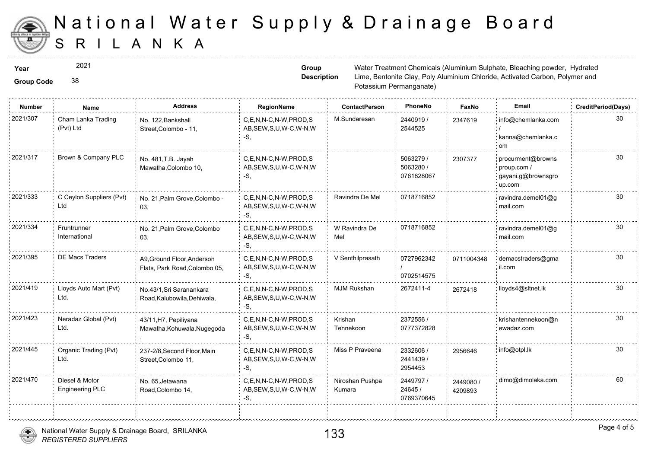

2021

**Group Code** 38

**Group Description**

**Year** Mater Treatment Chemicals (Aluminium Sulphate, Bleaching powder, Sulphate, Sulphate, Bleaching powder, Hydrated powder, Hydrated Powder, Sulphate, Bleaching powder, Hydrated Powder, Hydrated Powder, Hydrated Powder, Lime, Bentonite Clay, Poly Aluminium Potassium Permanganate)

| <b>Number</b> | Name                                     | <b>Address</b>                                              | RegionName                                                   | <b>ContactPerson</b>      | PhoneNo                              | Faxl             |
|---------------|------------------------------------------|-------------------------------------------------------------|--------------------------------------------------------------|---------------------------|--------------------------------------|------------------|
| 2021/307      | Cham Lanka Trading<br>(Pvt) Ltd          | No. 122, Bankshall<br>Street, Colombo - 11,                 | C,E,N,N-C,N-W,PROD,S<br>AB, SEW, S, U, W-C, W-N, W<br>-S.    | M.Sundaresan              | 2440919/<br>2544525                  | 234761           |
| 2021/317      | Brown & Company PLC                      | No. 481, T.B. Jayah<br>Mawatha, Colombo 10,                 | C,E,N,N-C,N-W,PROD,S<br>AB, SEW, S, U, W-C, W-N, W<br>-S.    |                           | 5063279 /<br>5063280 /<br>0761828067 | 230737           |
| 2021/333      | C Ceylon Suppliers (Pvt)<br>Ltd          | No. 21, Palm Grove, Colombo -<br>03,                        | C.E.N.N-C.N-W.PROD.S<br>AB, SEW, S, U, W-C, W-N, W<br>-S.    | Ravindra De Mel           | 0718716852                           |                  |
| 2021/334      | Fruntrunner<br>International             | No. 21, Palm Grove, Colombo<br>03,                          | C.E.N.N-C.N-W.PROD.S<br>AB, SEW, S, U, W-C, W-N, W<br>-S.    | W Ravindra De<br>Mel      | 0718716852                           |                  |
| 2021/395      | <b>DE Macs Traders</b>                   | A9, Ground Floor, Anderson<br>Flats, Park Road, Colombo 05, | C.E.N.N-C.N-W.PROD.S<br>AB, SEW, S, U, W-C, W-N, W<br>-S.    | V Senthilprasath          | 0727962342<br>0702514575             | 071100           |
| 2021/419      | Lloyds Auto Mart (Pvt)<br>Ltd.           | No.43/1, Sri Saranankara<br>Road, Kalubowila, Dehiwala,     | C.E.N.N-C.N-W.PROD.S<br>AB, SEW, S, U, W-C, W-N, W<br>$-S.$  | MJM Rukshan               | 2672411-4                            | 267241           |
| 2021/423      | Neradaz Global (Pvt)<br>Ltd.             | 43/11, H7, Pepiliyana<br>Mawatha, Kohuwala, Nugegoda        | C,E,N,N-C,N-W,PROD,S<br>AB, SEW, S, U, W-C, W-N, W<br>-S,    | Krishan<br>Tennekoon      | 2372556 /<br>0777372828              |                  |
| 2021/445      | Organic Trading (Pvt)<br>Ltd.            | 237-2/8, Second Floor, Main<br>Street, Colombo 11,          | C.E.N.N-C.N-W.PROD.S<br>AB, SEW, S, U, W-C, W-N, W<br>-S.    | Miss P Praveena           | 2332606 /<br>2441439 /<br>2954453    | 295664           |
| 2021/470      | Diesel & Motor<br><b>Engineering PLC</b> | No. 65, Jetawana<br>Road, Colombo 14,                       | C.E.N.N-C.N-W.PROD.S<br>AB, SEW, S, U, W-C, W-N, W<br>$-S$ . | Niroshan Pushpa<br>Kumara | 2449797 /<br>24645 /<br>0769370645   | 244908<br>420989 |
|               |                                          |                                                             |                                                              |                           |                                      |                  |